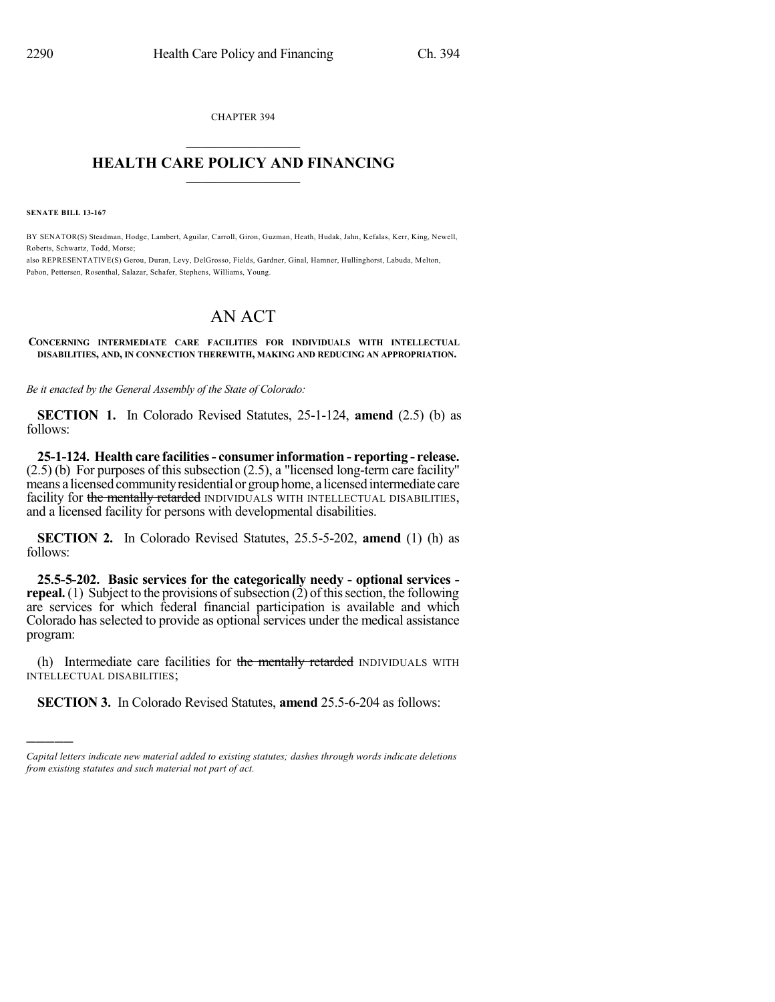CHAPTER 394  $\mathcal{L}_\text{max}$  . The set of the set of the set of the set of the set of the set of the set of the set of the set of the set of the set of the set of the set of the set of the set of the set of the set of the set of the set

### **HEALTH CARE POLICY AND FINANCING**  $\_$   $\_$   $\_$   $\_$   $\_$   $\_$   $\_$   $\_$

**SENATE BILL 13-167**

)))))

BY SENATOR(S) Steadman, Hodge, Lambert, Aguilar, Carroll, Giron, Guzman, Heath, Hudak, Jahn, Kefalas, Kerr, King, Newell, Roberts, Schwartz, Todd, Morse;

also REPRESENTATIVE(S) Gerou, Duran, Levy, DelGrosso, Fields, Gardner, Ginal, Hamner, Hullinghorst, Labuda, Melton, Pabon, Pettersen, Rosenthal, Salazar, Schafer, Stephens, Williams, Young.

# AN ACT

#### **CONCERNING INTERMEDIATE CARE FACILITIES FOR INDIVIDUALS WITH INTELLECTUAL DISABILITIES, AND, IN CONNECTION THEREWITH, MAKING AND REDUCING AN APPROPRIATION.**

*Be it enacted by the General Assembly of the State of Colorado:*

**SECTION 1.** In Colorado Revised Statutes, 25-1-124, **amend** (2.5) (b) as follows:

**25-1-124. Health care facilities- consumer information - reporting - release.** (2.5) (b) For purposes of this subsection (2.5), a "licensed long-term care facility" means a licensed communityresidential or grouphome, a licensedintermediate care facility for the mentally retarded INDIVIDUALS WITH INTELLECTUAL DISABILITIES, and a licensed facility for persons with developmental disabilities.

**SECTION 2.** In Colorado Revised Statutes, 25.5-5-202, **amend** (1) (h) as follows:

**25.5-5-202. Basic services for the categorically needy - optional services repeal.** (1) Subject to the provisions of subsection (2) of this section, the following are services for which federal financial participation is available and which Colorado has selected to provide as optional services under the medical assistance program:

(h) Intermediate care facilities for the mentally retarded INDIVIDUALS WITH INTELLECTUAL DISABILITIES;

**SECTION 3.** In Colorado Revised Statutes, **amend** 25.5-6-204 as follows:

*Capital letters indicate new material added to existing statutes; dashes through words indicate deletions from existing statutes and such material not part of act.*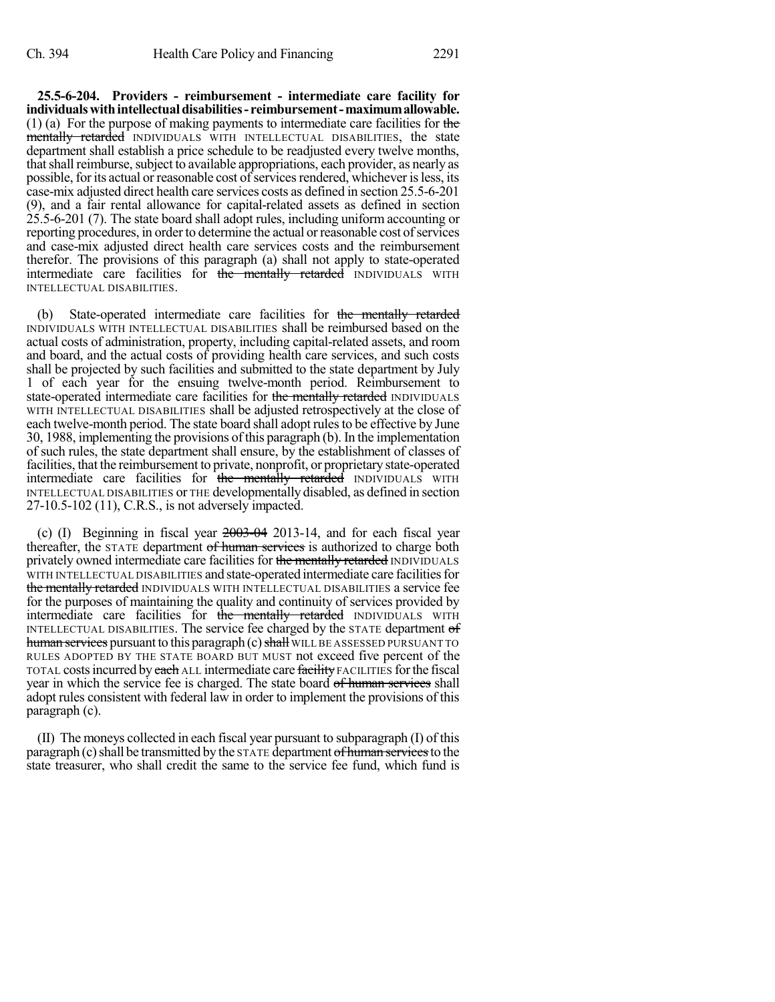**25.5-6-204. Providers - reimbursement - intermediate care facility for individualswithintellectualdisabilities- reimbursement-maximumallowable.** (1) (a) For the purpose of making payments to intermediate care facilities for the mentally retarded INDIVIDUALS WITH INTELLECTUAL DISABILITIES, the state department shall establish a price schedule to be readjusted every twelve months, that shall reimburse, subject to available appropriations, each provider, as nearly as possible, for its actual or reasonable cost of services rendered, whichever is less, its case-mix adjusted direct health care services costs as defined in section 25.5-6-201 (9), and a fair rental allowance for capital-related assets as defined in section 25.5-6-201 (7). The state board shall adopt rules, including uniform accounting or reporting procedures, in order to determine the actual or reasonable cost of services and case-mix adjusted direct health care services costs and the reimbursement therefor. The provisions of this paragraph (a) shall not apply to state-operated intermediate care facilities for the mentally retarded INDIVIDUALS WITH INTELLECTUAL DISABILITIES.

(b) State-operated intermediate care facilities for the mentally retarded INDIVIDUALS WITH INTELLECTUAL DISABILITIES shall be reimbursed based on the actual costs of administration, property, including capital-related assets, and room and board, and the actual costs of providing health care services, and such costs shall be projected by such facilities and submitted to the state department by July 1 of each year for the ensuing twelve-month period. Reimbursement to state-operated intermediate care facilities for the mentally retarded INDIVIDUALS WITH INTELLECTUAL DISABILITIES shall be adjusted retrospectively at the close of each twelve-month period. The state board shall adopt rules to be effective by June 30, 1988, implementing the provisions ofthis paragraph (b). In the implementation of such rules, the state department shall ensure, by the establishment of classes of facilities, that the reimbursement to private, nonprofit, or proprietary state-operated intermediate care facilities for the mentally retarded INDIVIDUALS WITH INTELLECTUAL DISABILITIES or THE developmentally disabled, as defined in section 27-10.5-102 (11), C.R.S., is not adversely impacted.

(c) (I) Beginning in fiscal year  $2003-04$  2013-14, and for each fiscal year thereafter, the STATE department of human services is authorized to charge both privately owned intermediate care facilities for the mentally retarded INDIVIDUALS WITH INTELLECTUAL DISABILITIES and state-operated intermediate care facilitiesfor the mentally retarded INDIVIDUALS WITH INTELLECTUAL DISABILITIES a service fee for the purposes of maintaining the quality and continuity of services provided by intermediate care facilities for the mentally retarded INDIVIDUALS WITH INTELLECTUAL DISABILITIES. The service fee charged by the STATE department of human services pursuant to this paragraph (c) shall WILL BE ASSESSED PURSUANT TO RULES ADOPTED BY THE STATE BOARD BUT MUST not exceed five percent of the TOTAL costs incurred by each ALL intermediate care facility FACILITIES for the fiscal year in which the service fee is charged. The state board of human services shall adopt rules consistent with federal law in order to implement the provisions of this paragraph (c).

(II) The moneys collected in each fiscal year pursuant to subparagraph (I) of this paragraph (c) shall be transmitted by the  $STATE$  department of human services to the state treasurer, who shall credit the same to the service fee fund, which fund is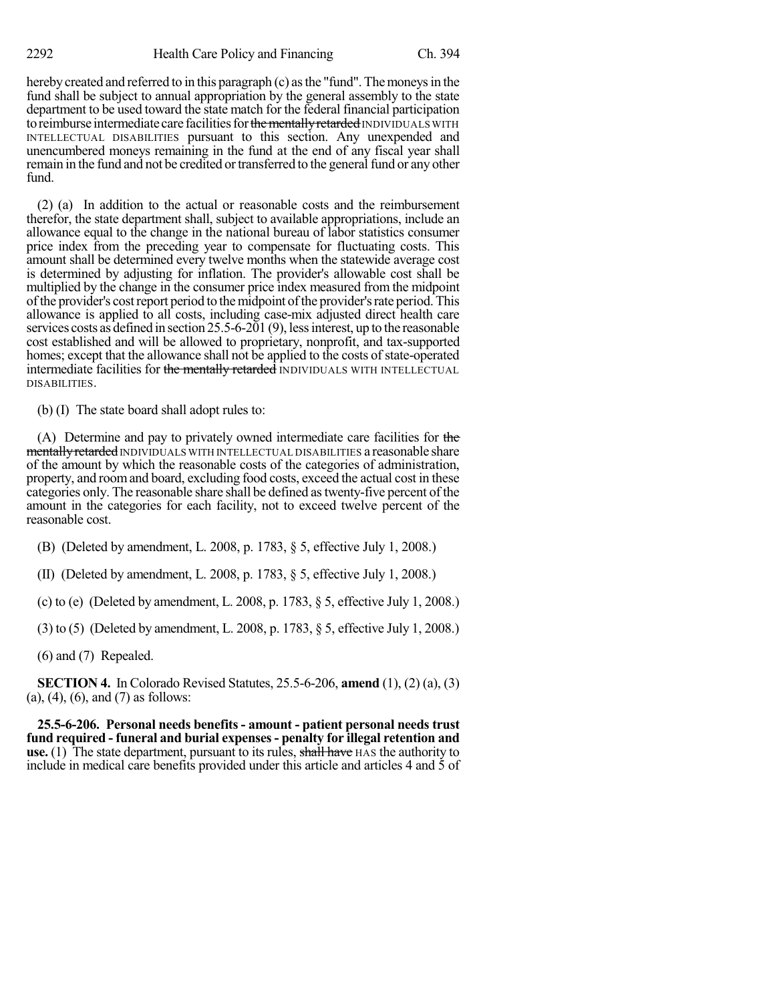hereby created and referred to in this paragraph (c) as the "fund". The moneys in the fund shall be subject to annual appropriation by the general assembly to the state department to be used toward the state match for the federal financial participation to reimburse intermediate care facilities for the mentally retarded INDIVIDUALS WITH INTELLECTUAL DISABILITIES pursuant to this section. Any unexpended and unencumbered moneys remaining in the fund at the end of any fiscal year shall remain in the fund and not be credited or transferred to the general fund or any other fund.

(2) (a) In addition to the actual or reasonable costs and the reimbursement therefor, the state department shall, subject to available appropriations, include an allowance equal to the change in the national bureau of labor statistics consumer price index from the preceding year to compensate for fluctuating costs. This amount shall be determined every twelve months when the statewide average cost is determined by adjusting for inflation. The provider's allowable cost shall be multiplied by the change in the consumer price index measured from the midpoint of the provider's cost report period to the midpoint of the provider's rate period. This allowance is applied to all costs, including case-mix adjusted direct health care services costs as defined in section 25.5-6-201 (9), lessinterest, up to the reasonable cost established and will be allowed to proprietary, nonprofit, and tax-supported homes; except that the allowance shall not be applied to the costs of state-operated intermediate facilities for the mentally retarded INDIVIDUALS WITH INTELLECTUAL DISABILITIES.

(b) (I) The state board shall adopt rules to:

(A) Determine and pay to privately owned intermediate care facilities for the mentally retarded INDIVIDUALS WITH INTELLECTUAL DISABILITIES a reasonable share of the amount by which the reasonable costs of the categories of administration, property, and roomand board, excluding food costs, exceed the actual cost in these categories only. The reasonable share shall be defined astwenty-five percent of the amount in the categories for each facility, not to exceed twelve percent of the reasonable cost.

(B) (Deleted by amendment, L. 2008, p. 1783, § 5, effective July 1, 2008.)

(II) (Deleted by amendment, L. 2008, p. 1783, § 5, effective July 1, 2008.)

(c) to (e) (Deleted by amendment, L. 2008, p. 1783, § 5, effective July 1, 2008.)

(3) to (5) (Deleted by amendment, L. 2008, p. 1783, § 5, effective July 1, 2008.)

(6) and (7) Repealed.

**SECTION 4.** In Colorado Revised Statutes, 25.5-6-206, **amend** (1), (2) (a), (3) (a), (4), (6), and (7) as follows:

**25.5-6-206. Personal needs benefits - amount - patient personal needs trust fund required - funeral and burial expenses- penalty for illegal retention and use.** (1) The state department, pursuant to its rules, shall have HAS the authority to include in medical care benefits provided under this article and articles 4 and 5 of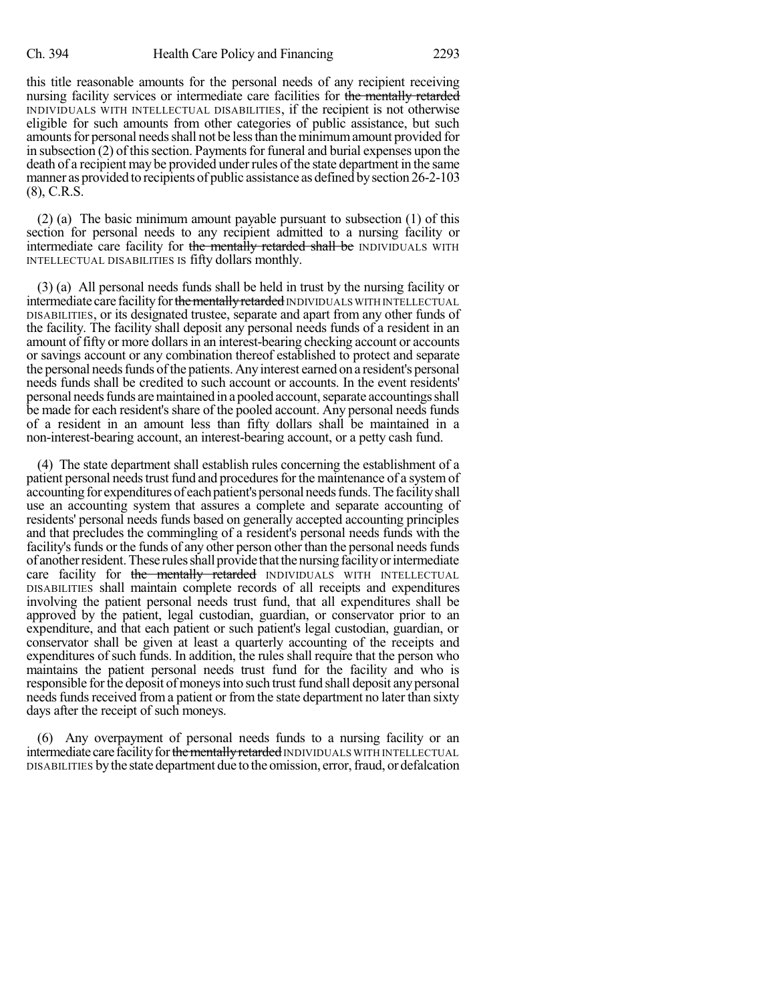this title reasonable amounts for the personal needs of any recipient receiving nursing facility services or intermediate care facilities for the mentally retarded INDIVIDUALS WITH INTELLECTUAL DISABILITIES, if the recipient is not otherwise eligible for such amounts from other categories of public assistance, but such amounts for personal needs shall not be less than the minimum amount provided for in subsection  $(2)$  of this section. Payments for funeral and burial expenses upon the death of a recipient may be provided under rules of the state department in the same manner as provided to recipients of public assistance as defined by section 26-2-103 (8), C.R.S.

(2) (a) The basic minimum amount payable pursuant to subsection (1) of this section for personal needs to any recipient admitted to a nursing facility or intermediate care facility for the mentally retarded shall be INDIVIDUALS WITH INTELLECTUAL DISABILITIES IS fifty dollars monthly.

(3) (a) All personal needs funds shall be held in trust by the nursing facility or intermediate care facility for the mentally retarded INDIVIDUALS WITH INTELLECTUAL DISABILITIES, or its designated trustee, separate and apart from any other funds of the facility. The facility shall deposit any personal needs funds of a resident in an amount of fifty or more dollars in an interest-bearing checking account or accounts or savings account or any combination thereof established to protect and separate the personal needs funds of the patients. Any interest earned on a resident's personal needs funds shall be credited to such account or accounts. In the event residents' personal needs funds are maintained in a pooled account, separate accountings shall be made for each resident's share of the pooled account. Any personal needs funds of a resident in an amount less than fifty dollars shall be maintained in a non-interest-bearing account, an interest-bearing account, or a petty cash fund.

(4) The state department shall establish rules concerning the establishment of a patient personal needs trust fund and procedures for the maintenance of a system of accounting for expenditures of each patient's personal needs funds. The facility shall use an accounting system that assures a complete and separate accounting of residents' personal needs funds based on generally accepted accounting principles and that precludes the commingling of a resident's personal needs funds with the facility's funds or the funds of any other person other than the personal needs funds of another resident. These rules shall provide that the nursing facility or intermediate care facility for the mentally retarded INDIVIDUALS WITH INTELLECTUAL DISABILITIES shall maintain complete records of all receipts and expenditures involving the patient personal needs trust fund, that all expenditures shall be approved by the patient, legal custodian, guardian, or conservator prior to an expenditure, and that each patient or such patient's legal custodian, guardian, or conservator shall be given at least a quarterly accounting of the receipts and expenditures of such funds. In addition, the rules shall require that the person who maintains the patient personal needs trust fund for the facility and who is responsible for the deposit of moneys into such trust fund shall deposit any personal needs funds received from a patient or from the state department no later than sixty days after the receipt of such moneys.

(6) Any overpayment of personal needs funds to a nursing facility or an intermediate care facility for the mentally retarded INDIVIDUALS WITH INTELLECTUAL DISABILITIES bythe state department due to the omission, error,fraud, or defalcation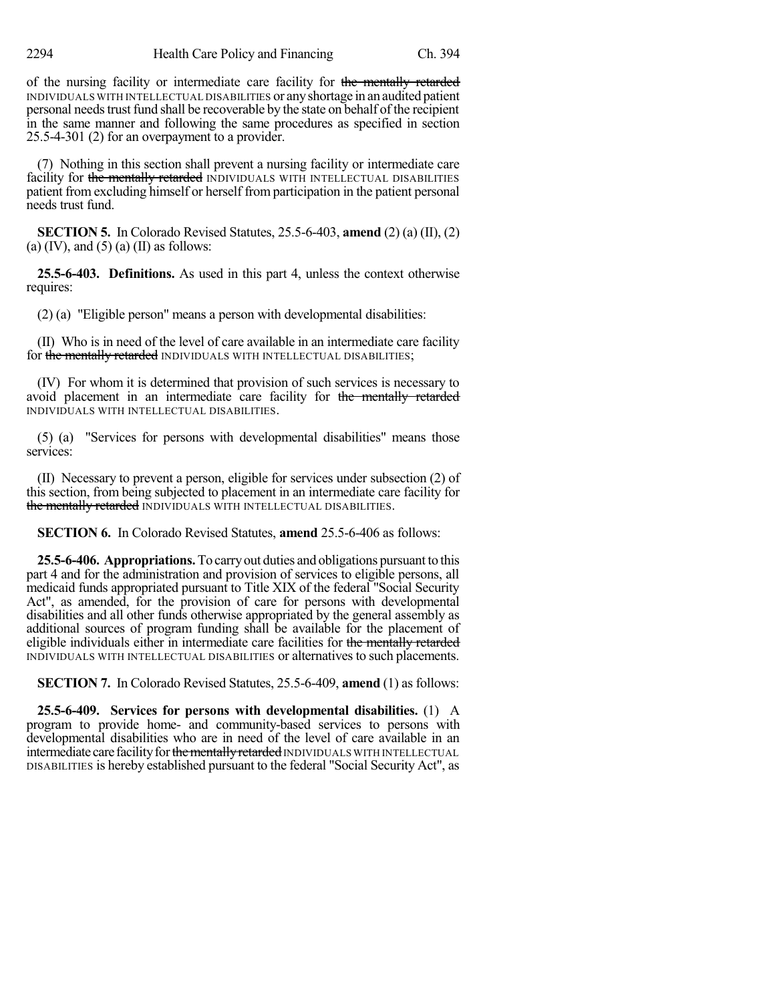of the nursing facility or intermediate care facility for the mentally retarded INDIVIDUALS WITH INTELLECTUAL DISABILITIES or anyshortage in an audited patient personal needstrust fund shall be recoverable by the state on behalf of the recipient in the same manner and following the same procedures as specified in section 25.5-4-301 (2) for an overpayment to a provider.

(7) Nothing in this section shall prevent a nursing facility or intermediate care facility for the mentally retarded INDIVIDUALS WITH INTELLECTUAL DISABILITIES patient from excluding himself or herself from participation in the patient personal needs trust fund.

**SECTION 5.** In Colorado Revised Statutes, 25.5-6-403, **amend** (2) (a) (II), (2) (a)  $(IV)$ , and  $(5)$  (a)  $(II)$  as follows:

**25.5-6-403. Definitions.** As used in this part 4, unless the context otherwise requires:

(2) (a) "Eligible person" means a person with developmental disabilities:

(II) Who is in need of the level of care available in an intermediate care facility for the mentally retarded INDIVIDUALS WITH INTELLECTUAL DISABILITIES;

(IV) For whom it is determined that provision of such services is necessary to avoid placement in an intermediate care facility for the mentally retarded INDIVIDUALS WITH INTELLECTUAL DISABILITIES.

(5) (a) "Services for persons with developmental disabilities" means those services:

(II) Necessary to prevent a person, eligible for services under subsection (2) of this section, from being subjected to placement in an intermediate care facility for the mentally retarded INDIVIDUALS WITH INTELLECTUAL DISABILITIES.

**SECTION 6.** In Colorado Revised Statutes, **amend** 25.5-6-406 as follows:

**25.5-6-406. Appropriations.**To carryout duties and obligations pursuant to this part 4 and for the administration and provision of services to eligible persons, all medicaid funds appropriated pursuant to Title XIX of the federal "Social Security Act", as amended, for the provision of care for persons with developmental disabilities and all other funds otherwise appropriated by the general assembly as additional sources of program funding shall be available for the placement of eligible individuals either in intermediate care facilities for the mentally retarded INDIVIDUALS WITH INTELLECTUAL DISABILITIES or alternatives to such placements.

**SECTION 7.** In Colorado Revised Statutes, 25.5-6-409, **amend** (1) as follows:

**25.5-6-409. Services for persons with developmental disabilities.** (1) A program to provide home- and community-based services to persons with developmental disabilities who are in need of the level of care available in an intermediate care facility for the mentally retarded INDIVIDUALS WITH INTELLECTUAL DISABILITIES is hereby established pursuant to the federal "Social Security Act", as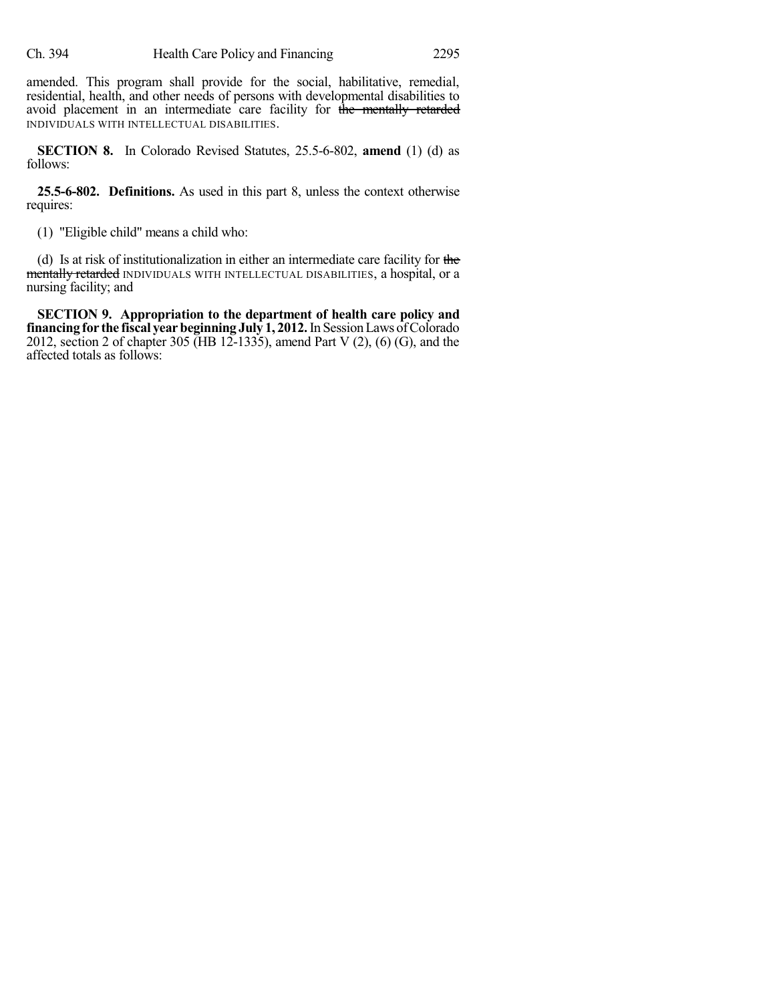amended. This program shall provide for the social, habilitative, remedial, residential, health, and other needs of persons with developmental disabilities to avoid placement in an intermediate care facility for the mentally retarded INDIVIDUALS WITH INTELLECTUAL DISABILITIES.

**SECTION 8.** In Colorado Revised Statutes, 25.5-6-802, **amend** (1) (d) as follows:

**25.5-6-802. Definitions.** As used in this part 8, unless the context otherwise requires:

(1) "Eligible child" means a child who:

(d) Is at risk of institutionalization in either an intermediate care facility for the mentally retarded INDIVIDUALS WITH INTELLECTUAL DISABILITIES, a hospital, or a nursing facility; and

**SECTION 9. Appropriation to the department of health care policy and financing** for the fiscal year beginning July 1, 2012. In Session Laws of Colorado 2012, section 2 of chapter 305 (HB 12-1335), amend Part V  $(2)$ ,  $(6)$   $(G)$ , and the affected totals as follows: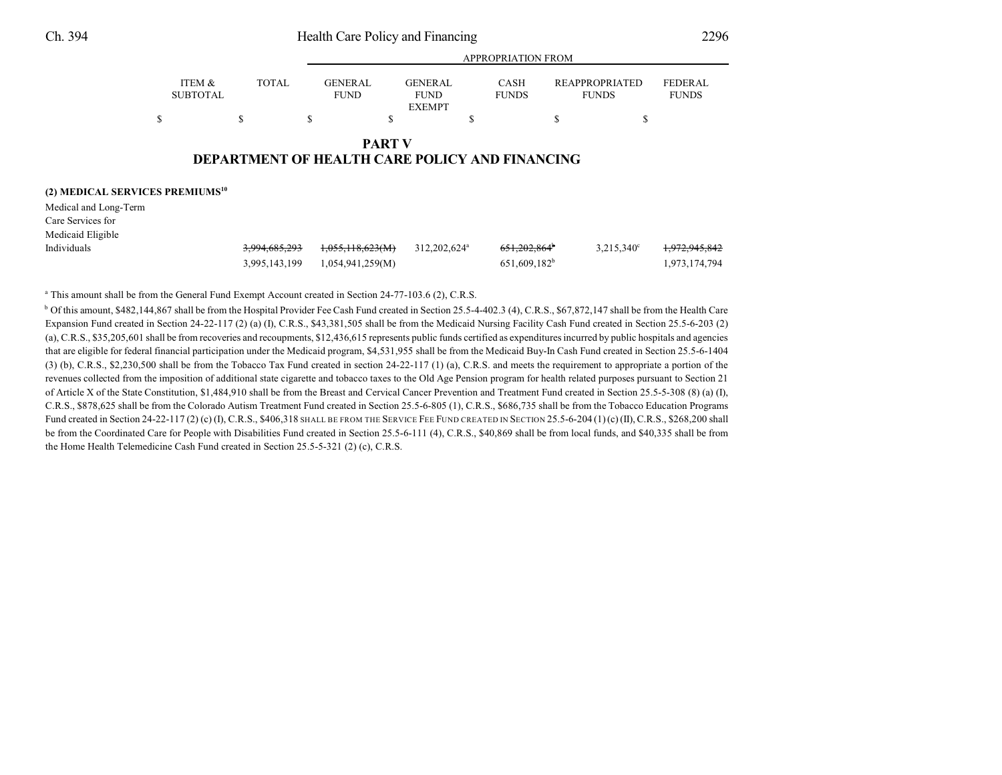|                                             |                                      |               |                               |                                                | <b>APPROPRIATION FROM</b>                             |                                       |                                |
|---------------------------------------------|--------------------------------------|---------------|-------------------------------|------------------------------------------------|-------------------------------------------------------|---------------------------------------|--------------------------------|
|                                             | <b>ITEM &amp;</b><br><b>SUBTOTAL</b> | <b>TOTAL</b>  | <b>GENERAL</b><br><b>FUND</b> | <b>GENERAL</b><br><b>FUND</b><br><b>EXEMPT</b> | <b>CASH</b><br><b>FUNDS</b>                           | <b>REAPPROPRIATED</b><br><b>FUNDS</b> | <b>FEDERAL</b><br><b>FUNDS</b> |
| \$                                          |                                      | S             | ъ                             | S                                              | S                                                     | \$<br>Э                               |                                |
|                                             |                                      |               |                               | <b>PART V</b>                                  | <b>DEPARTMENT OF HEALTH CARE POLICY AND FINANCING</b> |                                       |                                |
| (2) MEDICAL SERVICES PREMIUMS <sup>10</sup> |                                      |               |                               |                                                |                                                       |                                       |                                |
| Medical and Long-Term                       |                                      |               |                               |                                                |                                                       |                                       |                                |
| Care Services for                           |                                      |               |                               |                                                |                                                       |                                       |                                |
| Medicaid Eligible                           |                                      |               |                               |                                                |                                                       |                                       |                                |
| Individuals                                 |                                      | 3.994.685.293 | 1,055,118,623(M)              | 312,202,624 <sup>a</sup>                       | $651.202.864^{\circ}$                                 | $3,215,340^{\circ}$                   | 0.72045042<br>1.772.745.642    |

3,995,143,199 1,054,941,259(M) 651,609,182<sup>b</sup> 1,973,174,794

 $651,609,182^b$ 

<sup>a</sup> This amount shall be from the General Fund Exempt Account created in Section 24-77-103.6 (2), C.R.S.

<sup>b</sup> Of this amount, \$482,144,867 shall be from the Hospital Provider Fee Cash Fund created in Section 25.5-4-402.3 (4), C.R.S., \$67,872,147 shall be from the Health Care Expansion Fund created in Section 24-22-117 (2) (a) (I), C.R.S., \$43,381,505 shall be from the Medicaid Nursing Facility Cash Fund created in Section 25.5-6-203 (2) (a), C.R.S., \$35,205,601 shall be from recoveries and recoupments, \$12,436,615 represents public funds certified as expenditures incurred by public hospitals and agencies that are eligible for federal financial participation under the Medicaid program, \$4,531,955 shall be from the Medicaid Buy-In Cash Fund created in Section 25.5-6-1404 (3) (b), C.R.S., \$2,230,500 shall be from the Tobacco Tax Fund created in section 24-22-117 (1) (a), C.R.S. and meets the requirement to appropriate a portion of the revenues collected from the imposition of additional state cigarette and tobacco taxes to the Old Age Pension program for health related purposes pursuant to Section 21 of Article X of the State Constitution, \$1,484,910 shall be from the Breast and Cervical Cancer Prevention and Treatment Fund created in Section 25.5-5-308 (8) (a) (I), C.R.S., \$878,625 shall be from the Colorado Autism Treatment Fund created in Section 25.5-6-805 (1), C.R.S., \$686,735 shall be from the Tobacco Education Programs Fund created in Section 24-22-117 (2) (c) (I), C.R.S., \$406,318 SHALL BE FROM THE SERVICE FEE FUND CREATED IN SECTION 25.5-6-204 (1) (c) (II), C.R.S., \$268,200 shall be from the Coordinated Care for People with Disabilities Fund created in Section 25.5-6-111 (4), C.R.S., \$40,869 shall be from local funds, and \$40,335 shall be from the Home Health Telemedicine Cash Fund created in Section 25.5-5-321 (2) (c), C.R.S.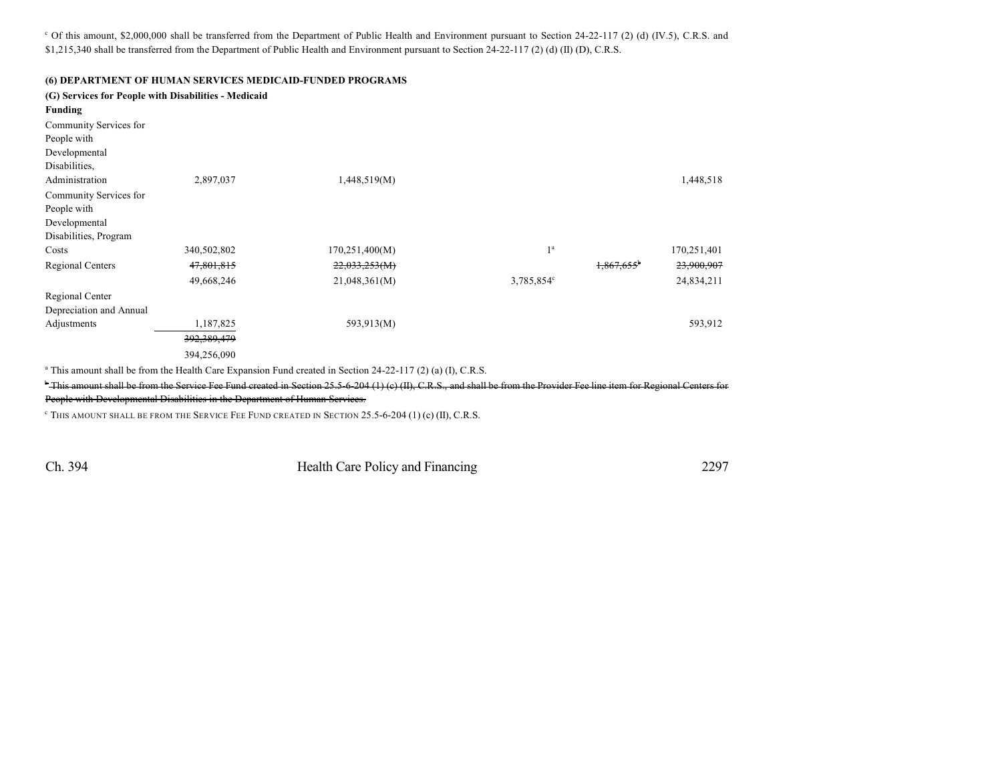$\degree$  Of this amount, \$2,000,000 shall be transferred from the Department of Public Health and Environment pursuant to Section 24-22-117 (2) (d) (IV.5), C.R.S. and \$1,215,340 shall be transferred from the Department of Public Health and Environment pursuant to Section 24-22-117 (2) (d) (II) (D), C.R.S.

#### **(6) DEPARTMENT OF HUMAN SERVICES MEDICAID-FUNDED PROGRAMS**

| <b>Funding</b>          | (G) Services for People with Disabilities - Medicaid |                |                |                          |             |
|-------------------------|------------------------------------------------------|----------------|----------------|--------------------------|-------------|
| Community Services for  |                                                      |                |                |                          |             |
| People with             |                                                      |                |                |                          |             |
| Developmental           |                                                      |                |                |                          |             |
| Disabilities.           |                                                      |                |                |                          |             |
| Administration          | 2,897,037                                            | 1,448,519(M)   |                |                          | 1,448,518   |
| Community Services for  |                                                      |                |                |                          |             |
| People with             |                                                      |                |                |                          |             |
| Developmental           |                                                      |                |                |                          |             |
| Disabilities, Program   |                                                      |                |                |                          |             |
| Costs                   | 340,502,802                                          | 170,251,400(M) | 1 <sup>a</sup> |                          | 170,251,401 |
| Regional Centers        | 47,801,815                                           | 22,033,253(M)  |                | $1,867,655$ <sup>b</sup> | 23,900,907  |
|                         | 49,668,246                                           | 21,048,361(M)  | 3,785,854°     |                          | 24,834,211  |
| Regional Center         |                                                      |                |                |                          |             |
| Depreciation and Annual |                                                      |                |                |                          |             |
| Adjustments             | 1,187,825                                            | 593,913(M)     |                |                          | 593,912     |
|                         | 392,389,479                                          |                |                |                          |             |
|                         | 394,256,090                                          |                |                |                          |             |

 $\degree$  This amount shall be from the Health Care Expansion Fund created in Section 24-22-117 (2) (a) (I), C.R.S.

<sup>b</sup> This amount shall be from the Service Fee Fund created in Section 25.5-6-204 (1) (c) (II), C.R.S., and shall be from the Provider Fee line item for Regional Centers for People with Developmental Disabilities in the Department of Human Services.

THIS AMOUNT SHALL BE FROM THE SERVICE FEE FUND CREATED IN SECTION 25.5-6-204 (1) (c) (II), C.R.S. <sup>c</sup>

Ch. 394 Health Care Policy and Financing 2297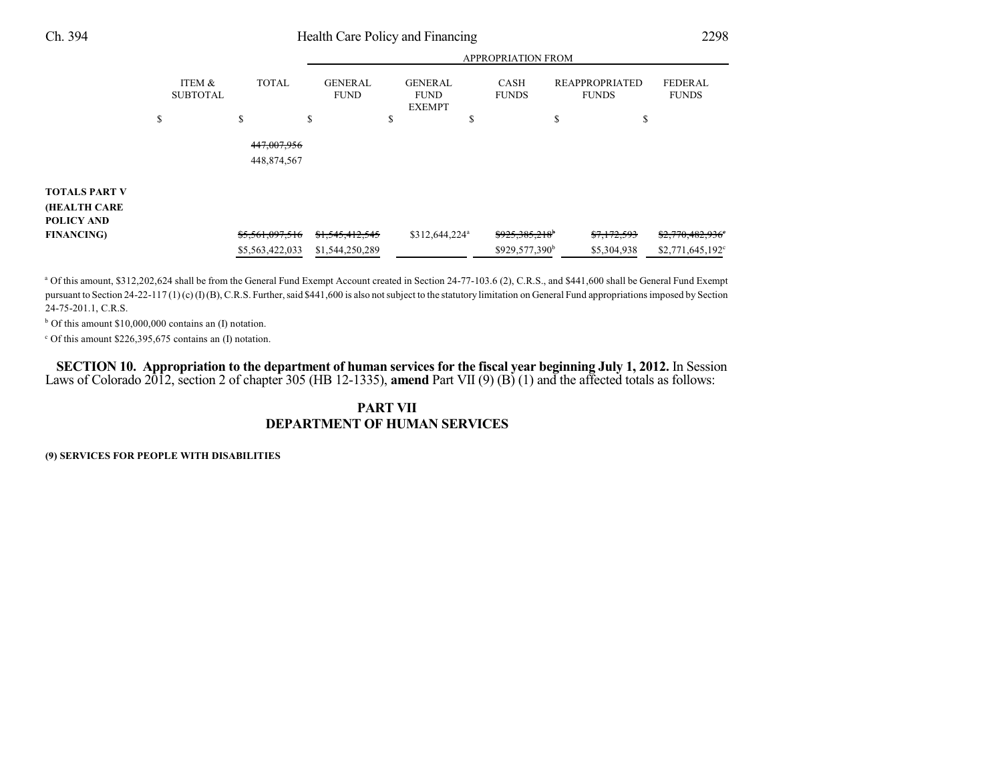|                      |                           |                            | APPROPRIATION FROM            |    |                                                |    |                            |    |                                       |                                |
|----------------------|---------------------------|----------------------------|-------------------------------|----|------------------------------------------------|----|----------------------------|----|---------------------------------------|--------------------------------|
|                      | ITEM &<br><b>SUBTOTAL</b> | <b>TOTAL</b>               | <b>GENERAL</b><br><b>FUND</b> |    | <b>GENERAL</b><br><b>FUND</b><br><b>EXEMPT</b> |    | CASH<br><b>FUNDS</b>       |    | <b>REAPPROPRIATED</b><br><b>FUNDS</b> | <b>FEDERAL</b><br><b>FUNDS</b> |
|                      | \$                        | \$                         | \$                            | \$ |                                                | \$ |                            | \$ | \$                                    |                                |
|                      |                           | 447,007,956<br>448,874,567 |                               |    |                                                |    |                            |    |                                       |                                |
| <b>TOTALS PART V</b> |                           |                            |                               |    |                                                |    |                            |    |                                       |                                |
| <b>(HEALTH CARE</b>  |                           |                            |                               |    |                                                |    |                            |    |                                       |                                |
| POLICY AND           |                           |                            |                               |    |                                                |    |                            |    |                                       |                                |
| <b>FINANCING</b> )   |                           | \$5,561,097,516            | \$1,545,412,545               |    | \$312,644,224 <sup>a</sup>                     |    | \$925,385,218 <sup>b</sup> |    | \$7,172,593                           | $$2,770,482,936$ <sup>e</sup>  |
|                      |                           | \$5,563,422,033            | \$1,544,250,289               |    |                                                |    | \$929,577,390 <sup>b</sup> |    | \$5,304,938                           | $$2,771,645,192^{\circ}$       |

APPROPRIATION FROM

<sup>a</sup> Of this amount, \$312,202,624 shall be from the General Fund Exempt Account created in Section 24-77-103.6 (2), C.R.S., and \$441,600 shall be General Fund Exempt pursuant to Section 24-22-117 (1) (c) (I) (B), C.R.S. Further, said \$441,600 is also not subject to the statutory limitation on General Fund appropriations imposed by Section 24-75-201.1, C.R.S.

 $b$  Of this amount \$10,000,000 contains an (I) notation.

 $c$  Of this amount \$226,395,675 contains an (I) notation.

SECTION 10. Appropriation to the department of human services for the fiscal year beginning July 1, 2012. In Session Laws of Colorado 2012, section 2 of chapter 305 (HB 12-1335), **amend** Part VII (9) (B) (1) and the affected totals as follows:

### **PART VII DEPARTMENT OF HUMAN SERVICES**

**(9) SERVICES FOR PEOPLE WITH DISABILITIES**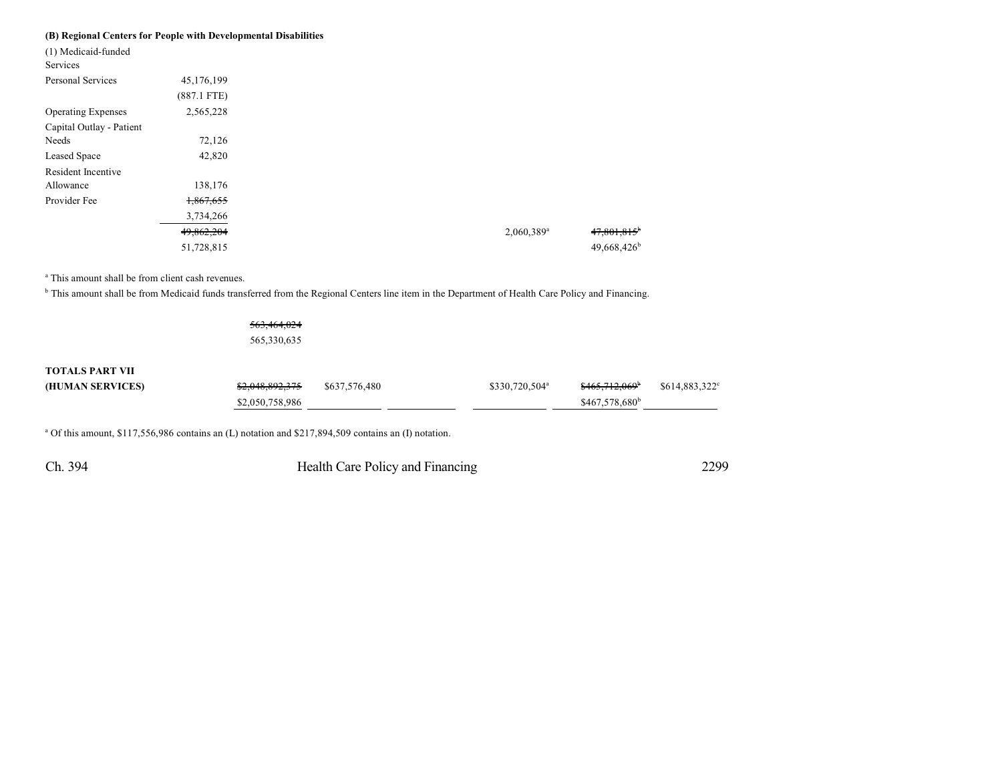#### **(B) Regional Centers for People with Developmental Disabilities**

| (1) Medicaid-funded       |               |
|---------------------------|---------------|
| Services                  |               |
| Personal Services         | 45,176,199    |
|                           | $(887.1$ FTE) |
| <b>Operating Expenses</b> | 2,565,228     |
| Capital Outlay - Patient  |               |
| Needs                     | 72,126        |
| Leased Space              | 42,820        |
| Resident Incentive        |               |
| Allowance                 | 138,176       |
| Provider Fee              | 1,867,655     |
|                           | 3,734,266     |
|                           | 49,862,204    |
|                           | 51,728,815    |
|                           |               |

<sup>a</sup> This amount shall be from client cash revenues.

<sup>b</sup> This amount shall be from Medicaid funds transferred from the Regional Centers line item in the Department of Health Care Policy and Financing.

|                        | 563,464,024     |               |                            |                            |               |
|------------------------|-----------------|---------------|----------------------------|----------------------------|---------------|
|                        | 565,330,635     |               |                            |                            |               |
| <b>TOTALS PART VII</b> |                 |               |                            |                            |               |
|                        |                 |               |                            |                            |               |
| (HUMAN SERVICES)       | \$2,048,892,375 | \$637,576,480 | \$330,720,504 <sup>a</sup> | <del>\$465,712,069</del>   | \$614,883,322 |
|                        | \$2,050,758,986 |               |                            | \$467,578,680 <sup>b</sup> |               |
|                        |                 |               |                            |                            |               |

<sup>a</sup> Of this amount, \$117,556,986 contains an (L) notation and \$217,894,509 contains an (I) notation.

Ch. 394 Health Care Policy and Financing 2299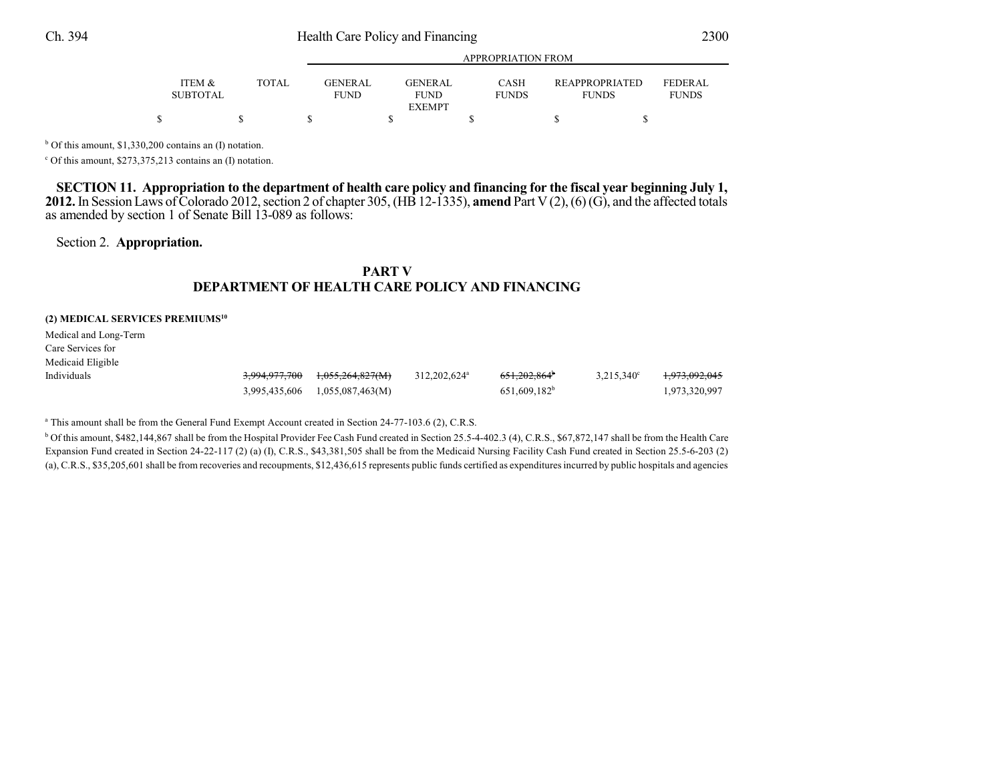| ITEM &          | <b>TOTAL</b> | <b>GENER AL</b> | GENERAL       | CASH         | <b>REAPPROPRIATED</b> | <b>FEDERAL</b> |
|-----------------|--------------|-----------------|---------------|--------------|-----------------------|----------------|
| <b>SUBTOTAL</b> |              | <b>FUND</b>     | <b>FUND</b>   | <b>FUNDS</b> | <b>FUNDS</b>          | <b>FUNDS</b>   |
|                 |              |                 | <b>EXEMPT</b> |              |                       |                |
|                 |              |                 |               |              |                       |                |

APPROPRIATION FROM

 $b$  Of this amount, \$1,330,200 contains an (I) notation.

 $c$  Of this amount, \$273,375,213 contains an (I) notation.

SECTION 11. Appropriation to the department of health care policy and financing for the fiscal year beginning July 1, **2012.** In Session Laws of Colorado 2012, section 2 of chapter 305, (HB 12-1335), **amend** Part V (2), (6) (G), and the affected totals as amended by section 1 of Senate Bill 13-089 as follows:

Section 2. **Appropriation.**

### **PART V DEPARTMENT OF HEALTH CARE POLICY AND FINANCING**

#### **(2) MEDICAL SERVICES PREMIUMS<sup>10</sup>**

Medical and Long-Term Care Services for Medicaid Eligible

| Individuals | 3,994,977,700 1,055,264,827(M) | 312,202,624 <sup>a</sup> | 651,202,864 <sup>b</sup> | $3,215,340^{\circ}$ | <del>1.973.092.045</del> |
|-------------|--------------------------------|--------------------------|--------------------------|---------------------|--------------------------|
|             | 3,995,435,606 1,055,087,463(M) |                          | 651,609,182 <sup>b</sup> |                     | 1,973,320,997            |

<sup>a</sup> This amount shall be from the General Fund Exempt Account created in Section 24-77-103.6 (2), C.R.S.

<sup>b</sup> Of this amount, \$482,144,867 shall be from the Hospital Provider Fee Cash Fund created in Section 25.5-4-402.3 (4), C.R.S., \$67,872,147 shall be from the Health Care Expansion Fund created in Section 24-22-117 (2) (a) (I), C.R.S., \$43,381,505 shall be from the Medicaid Nursing Facility Cash Fund created in Section 25.5-6-203 (2) (a), C.R.S., \$35,205,601 shall be from recoveries and recoupments, \$12,436,615 represents public funds certified as expenditures incurred by public hospitals and agencies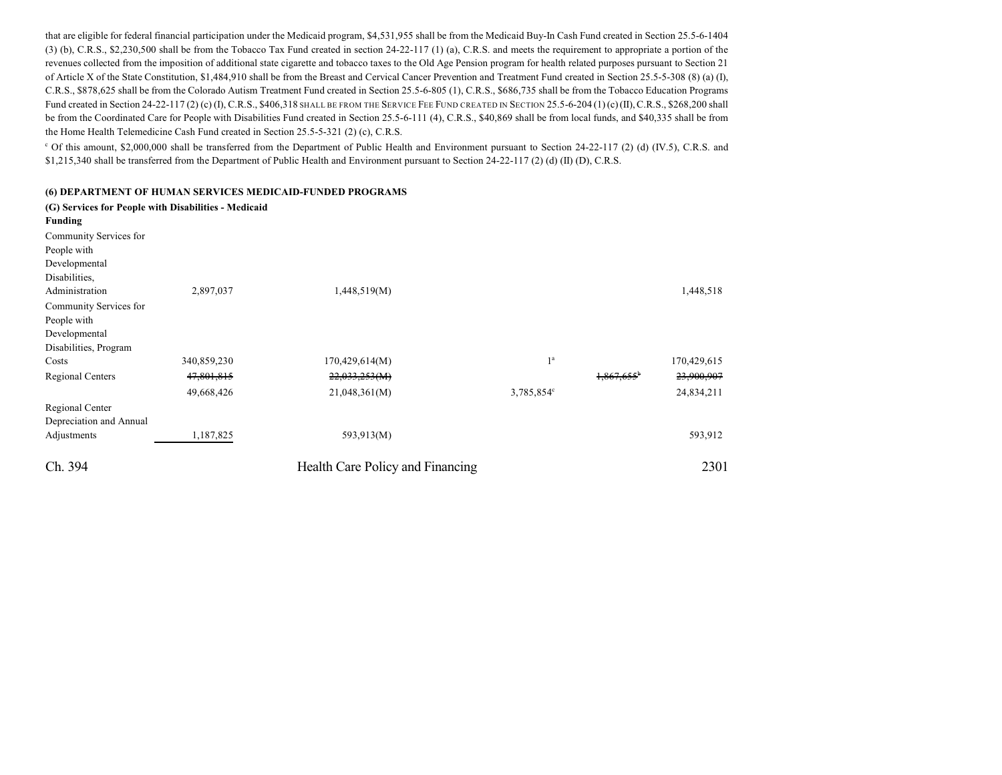that are eligible for federal financial participation under the Medicaid program, \$4,531,955 shall be from the Medicaid Buy-In Cash Fund created in Section 25.5-6-1404 (3) (b), C.R.S., \$2,230,500 shall be from the Tobacco Tax Fund created in section 24-22-117 (1) (a), C.R.S. and meets the requirement to appropriate a portion of the revenues collected from the imposition of additional state cigarette and tobacco taxes to the Old Age Pension program for health related purposes pursuant to Section 21 of Article X of the State Constitution, \$1,484,910 shall be from the Breast and Cervical Cancer Prevention and Treatment Fund created in Section 25.5-5-308 (8) (a) (I), C.R.S., \$878,625 shall be from the Colorado Autism Treatment Fund created in Section 25.5-6-805 (1), C.R.S., \$686,735 shall be from the Tobacco Education Programs Fund created in Section 24-22-117 (2) (c) (I), C.R.S., \$406,318 SHALL BE FROM THE SERVICE FEE FUND CREATED IN SECTION 25.5-6-204 (1) (c) (II), C.R.S., \$268,200 shall be from the Coordinated Care for People with Disabilities Fund created in Section 25.5-6-111 (4), C.R.S., \$40,869 shall be from local funds, and \$40,335 shall be from the Home Health Telemedicine Cash Fund created in Section 25.5-5-321 (2) (c), C.R.S.

<sup>c</sup> Of this amount, \$2,000,000 shall be transferred from the Department of Public Health and Environment pursuant to Section 24-22-117 (2) (d) (IV.5), C.R.S. and \$1,215,340 shall be transferred from the Department of Public Health and Environment pursuant to Section 24-22-117 (2) (d) (II) (D), C.R.S.

#### **(6) DEPARTMENT OF HUMAN SERVICES MEDICAID-FUNDED PROGRAMS**

| (G) Services for People with Disabilities - Medicaid |             |                                  |                |                          |             |
|------------------------------------------------------|-------------|----------------------------------|----------------|--------------------------|-------------|
| Funding                                              |             |                                  |                |                          |             |
| Community Services for                               |             |                                  |                |                          |             |
| People with                                          |             |                                  |                |                          |             |
| Developmental                                        |             |                                  |                |                          |             |
| Disabilities,                                        |             |                                  |                |                          |             |
| Administration                                       | 2,897,037   | 1,448,519(M)                     |                |                          | 1,448,518   |
| Community Services for                               |             |                                  |                |                          |             |
| People with                                          |             |                                  |                |                          |             |
| Developmental                                        |             |                                  |                |                          |             |
| Disabilities, Program                                |             |                                  |                |                          |             |
| Costs                                                | 340,859,230 | 170,429,614(M)                   | 1 <sup>a</sup> |                          | 170,429,615 |
| <b>Regional Centers</b>                              | 47,801,815  | 22,033,253(M)                    |                | $1,867,655$ <sup>b</sup> | 23,900,907  |
|                                                      | 49,668,426  | 21,048,361(M)                    | 3,785,854°     |                          | 24,834,211  |
| Regional Center                                      |             |                                  |                |                          |             |
| Depreciation and Annual                              |             |                                  |                |                          |             |
| Adjustments                                          | 1,187,825   | 593,913(M)                       |                |                          | 593,912     |
| Ch. 394                                              |             | Health Care Policy and Financing |                |                          | 2301        |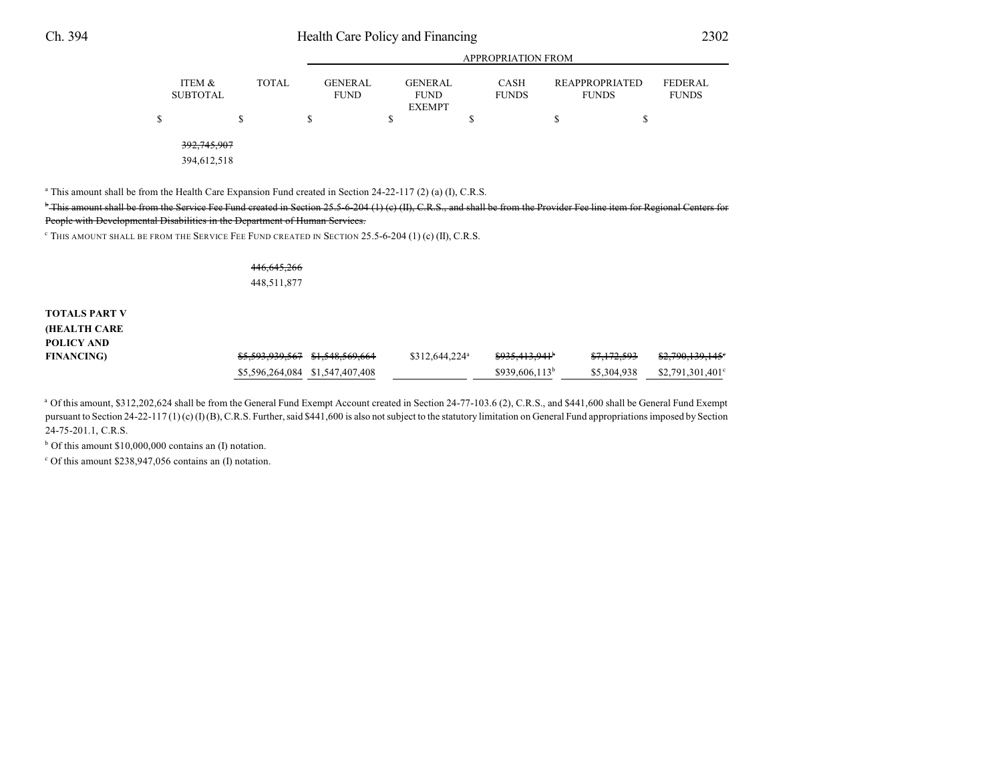| ۰ | i |
|---|---|

|                                                |                                     |                                                      | APPROPRIATION FROM                |                                             |                                      |
|------------------------------------------------|-------------------------------------|------------------------------------------------------|-----------------------------------|---------------------------------------------|--------------------------------------|
| ITEM &<br><b>TOTAL</b><br><b>SUBTOTAL</b><br>S | <b>GENERAL</b><br><b>FUND</b><br>\$ | <b>GENERAL</b><br><b>FUND</b><br><b>EXEMPT</b><br>\$ | <b>CASH</b><br><b>FUNDS</b><br>\$ | <b>REAPPROPRIATED</b><br><b>FUNDS</b><br>J. | <b>FEDERAL</b><br><b>FUNDS</b><br>۰D |
| 392, 745, 907<br>394,612,518                   |                                     |                                                      |                                   |                                             |                                      |

APPROPRIATION FROM

<sup>a</sup> This amount shall be from the Health Care Expansion Fund created in Section 24-22-117 (2) (a) (I), C.R.S.

<sup>b</sup> This amount shall be from the Service Fee Fund created in Section 25.5-6-204 (1) (c) (II), C.R.S., and shall be from the Provider Fee line item for Regional Centers for People with Developmental Disabilities in the Department of Human Services.

 $\degree$  This amount shall be from the Service Fee Fund created in Section 25.5-6-204 (1) (c) (II), C.R.S.

446,645,266 448,511,877

**TOTALS PART V (HEALTH CARE POLICY AND FINANCING**) **\$5,593,939,567 \$1,548,569,664** \$312,644,224<sup>a</sup> \$935,413,941<sup>b</sup> \$7,172,593 \$2,790,139,145<sup>e</sup>

 $$5,596,264,084$   $$1,547,407,408$   $$939,606,113$   $$5,304,938$   $$2,791,301,401$ <sup>c</sup> <sup>a</sup> Of this amount, \$312,202,624 shall be from the General Fund Exempt Account created in Section 24-77-103.6 (2), C.R.S., and \$441,600 shall be General Fund Exempt

pursuant to Section 24-22-117 (1) (c) (I) (B), C.R.S. Further, said \$441,600 is also not subject to the statutory limitation on General Fund appropriations imposed by Section 24-75-201.1, C.R.S.

 $b$  Of this amount \$10,000,000 contains an (I) notation.

 $c$  Of this amount \$238,947,056 contains an (I) notation.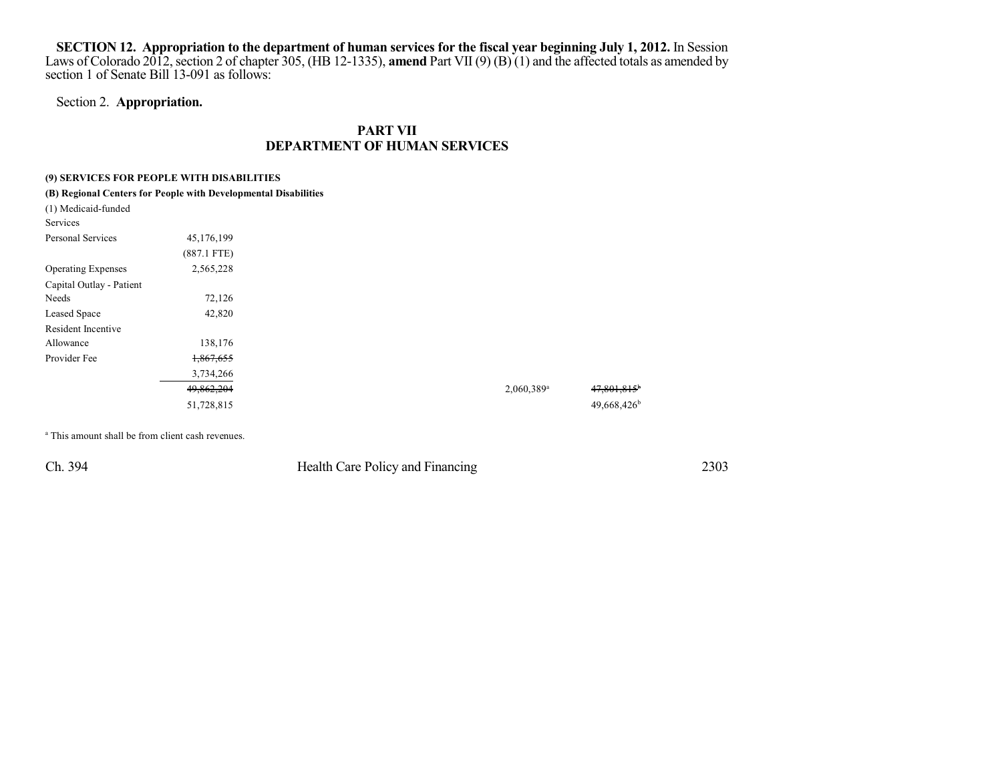SECTION 12. Appropriation to the department of human services for the fiscal year beginning July 1, 2012. In Session Laws of Colorado 2012, section 2 of chapter 305, (HB 12-1335), **amend** Part VII (9) (B) (1) and the affected totals as amended by section 1 of Senate Bill 13-091 as follows:

## Section 2. **Appropriation.**

## **PART VII DEPARTMENT OF HUMAN SERVICES**

#### **(9) SERVICES FOR PEOPLE WITH DISABILITIES**

| (B) Regional Centers for People with Developmental Disabilities |               |  |                          |  |
|-----------------------------------------------------------------|---------------|--|--------------------------|--|
| (1) Medicaid-funded                                             |               |  |                          |  |
| Services                                                        |               |  |                          |  |
| Personal Services                                               | 45,176,199    |  |                          |  |
|                                                                 | $(887.1$ FTE) |  |                          |  |
| <b>Operating Expenses</b>                                       | 2,565,228     |  |                          |  |
| Capital Outlay - Patient                                        |               |  |                          |  |
| Needs                                                           | 72,126        |  |                          |  |
| Leased Space                                                    | 42,820        |  |                          |  |
| Resident Incentive                                              |               |  |                          |  |
| Allowance                                                       | 138,176       |  |                          |  |
| Provider Fee                                                    | 1,867,655     |  |                          |  |
|                                                                 | 3,734,266     |  |                          |  |
|                                                                 | 49,862,204    |  | $2,060,389$ <sup>a</sup> |  |
|                                                                 | 51,728,815    |  |                          |  |

<sup>a</sup> This amount shall be from client cash revenues.

Ch. 394 Health Care Policy and Financing 2303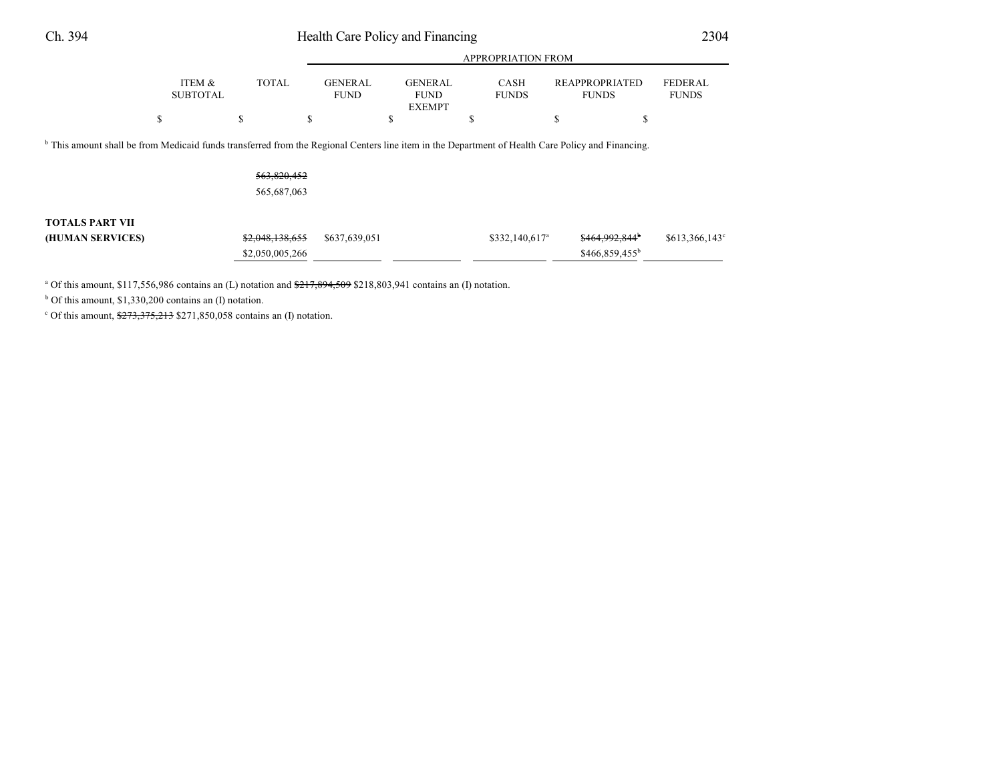# Ch. 394 Health Care Policy and Financing 2304

|                           |       | <b>APPROPRIATION FROM</b>     |                                                |                             |                                |                                |  |
|---------------------------|-------|-------------------------------|------------------------------------------------|-----------------------------|--------------------------------|--------------------------------|--|
| ITEM &<br><b>SUBTOTAL</b> | TOTAL | <b>GENERAL</b><br><b>FUND</b> | <b>GENERAL</b><br><b>FUND</b><br><b>EXEMPT</b> | <b>CASH</b><br><b>FUNDS</b> | REAPPROPRIATED<br><b>FUNDS</b> | <b>FEDERAL</b><br><b>FUNDS</b> |  |
|                           |       |                               |                                                | S                           |                                |                                |  |

<sup>b</sup> This amount shall be from Medicaid funds transferred from the Regional Centers line item in the Department of Health Care Policy and Financing.

563,820,452 565,687,063

### **TOTALS PART VII**

| (HUMAN SERVICES) | $$2,048,138,655$ $$637,639,051$ | \$332,140,617 <sup>a</sup> | <del>\$464,992,844</del>   | \$613,366,143 |
|------------------|---------------------------------|----------------------------|----------------------------|---------------|
|                  | \$2,050,005,266                 |                            | \$466,859,455 <sup>b</sup> |               |

<sup>a</sup> Of this amount, \$117,556,986 contains an (L) notation and  $\frac{$217,894,509}{$218,803,941}$  contains an (I) notation.

 $b$  Of this amount, \$1,330,200 contains an (I) notation.

C Of this amount,  $\frac{$273,375,213}{271,850,058}$  contains an (I) notation.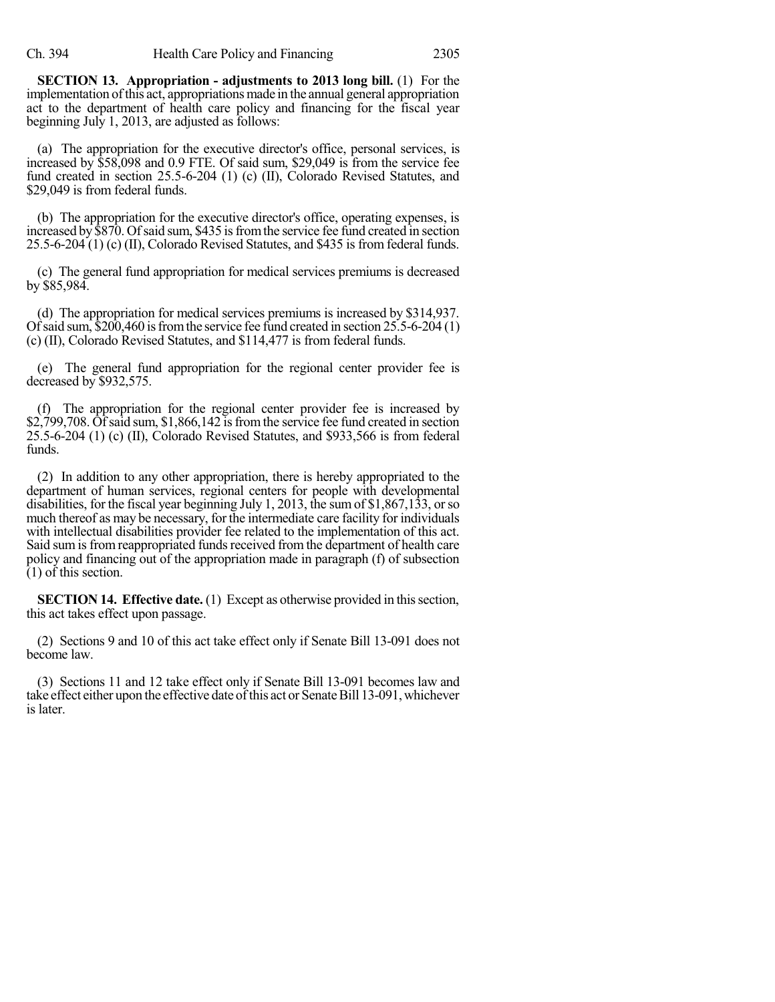**SECTION 13. Appropriation - adjustments to 2013 long bill.** (1) For the implementation ofthis act, appropriations made in the annual general appropriation act to the department of health care policy and financing for the fiscal year beginning July 1, 2013, are adjusted as follows:

(a) The appropriation for the executive director's office, personal services, is increased by \$58,098 and 0.9 FTE. Of said sum, \$29,049 is from the service fee fund created in section 25.5-6-204 (1) (c) (II), Colorado Revised Statutes, and \$29,049 is from federal funds.

(b) The appropriation for the executive director's office, operating expenses, is increased by \$870. Of said sum, \$435 is from the service fee fund created in section 25.5-6-204 (1) (c) (II), Colorado Revised Statutes, and \$435 is from federal funds.

(c) The general fund appropriation for medical services premiums is decreased by \$85,984.

(d) The appropriation for medical services premiums is increased by \$314,937. Of said sum,  $$200,460$  is from the service fee fund created in section  $25.5-6-204(1)$ (c) (II), Colorado Revised Statutes, and \$114,477 is from federal funds.

(e) The general fund appropriation for the regional center provider fee is decreased by \$932,575.

(f) The appropriation for the regional center provider fee is increased by  $$2,799,708$ . Of said sum, \$1,866,142 is from the service fee fund created in section 25.5-6-204 (1) (c) (II), Colorado Revised Statutes, and \$933,566 is from federal funds.

(2) In addition to any other appropriation, there is hereby appropriated to the department of human services, regional centers for people with developmental disabilities, for the fiscal year beginning July 1, 2013, the sum of \$1,867,133, orso much thereof as may be necessary, for the intermediate care facility for individuals with intellectual disabilities provider fee related to the implementation of this act. Said sum is from reappropriated funds received from the department of health care policy and financing out of the appropriation made in paragraph (f) of subsection  $(1)$  of this section.

**SECTION 14. Effective date.** (1) Except as otherwise provided in this section, this act takes effect upon passage.

(2) Sections 9 and 10 of this act take effect only if Senate Bill 13-091 does not become law.

(3) Sections 11 and 12 take effect only if Senate Bill 13-091 becomes law and take effect either upon the effective date of this act or Senate Bill 13-091, whichever is later.